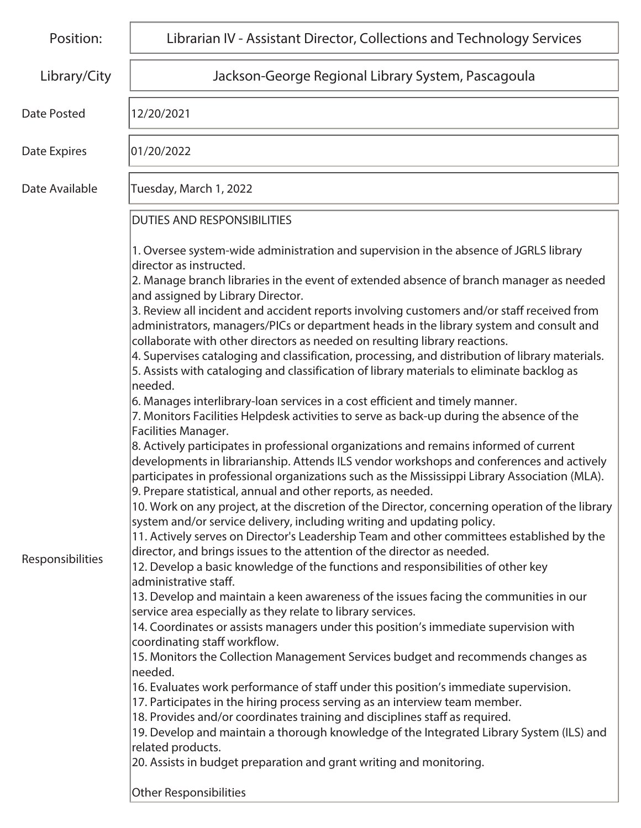| Position:          | Librarian IV - Assistant Director, Collections and Technology Services                                                                                                                                                                                                                                                                                                                                                                                               |
|--------------------|----------------------------------------------------------------------------------------------------------------------------------------------------------------------------------------------------------------------------------------------------------------------------------------------------------------------------------------------------------------------------------------------------------------------------------------------------------------------|
| Library/City       | Jackson-George Regional Library System, Pascagoula                                                                                                                                                                                                                                                                                                                                                                                                                   |
| <b>Date Posted</b> | 12/20/2021                                                                                                                                                                                                                                                                                                                                                                                                                                                           |
| Date Expires       | 01/20/2022                                                                                                                                                                                                                                                                                                                                                                                                                                                           |
| Date Available     | Tuesday, March 1, 2022                                                                                                                                                                                                                                                                                                                                                                                                                                               |
|                    | <b>DUTIES AND RESPONSIBILITIES</b>                                                                                                                                                                                                                                                                                                                                                                                                                                   |
|                    | 1. Oversee system-wide administration and supervision in the absence of JGRLS library<br>director as instructed.<br>2. Manage branch libraries in the event of extended absence of branch manager as needed<br>and assigned by Library Director.                                                                                                                                                                                                                     |
|                    | 3. Review all incident and accident reports involving customers and/or staff received from<br>administrators, managers/PICs or department heads in the library system and consult and<br>collaborate with other directors as needed on resulting library reactions.<br>4. Supervises cataloging and classification, processing, and distribution of library materials.<br>5. Assists with cataloging and classification of library materials to eliminate backlog as |
|                    | needed.<br>6. Manages interlibrary-loan services in a cost efficient and timely manner.<br>7. Monitors Facilities Helpdesk activities to serve as back-up during the absence of the<br>Facilities Manager.                                                                                                                                                                                                                                                           |
|                    | 8. Actively participates in professional organizations and remains informed of current<br>developments in librarianship. Attends ILS vendor workshops and conferences and actively<br>participates in professional organizations such as the Mississippi Library Association (MLA).<br>9. Prepare statistical, annual and other reports, as needed.                                                                                                                  |
|                    | 10. Work on any project, at the discretion of the Director, concerning operation of the library<br>system and/or service delivery, including writing and updating policy.                                                                                                                                                                                                                                                                                            |
| Responsibilities   | 11. Actively serves on Director's Leadership Team and other committees established by the<br>director, and brings issues to the attention of the director as needed.<br>12. Develop a basic knowledge of the functions and responsibilities of other key                                                                                                                                                                                                             |
|                    | administrative staff.<br>13. Develop and maintain a keen awareness of the issues facing the communities in our<br>service area especially as they relate to library services.                                                                                                                                                                                                                                                                                        |
|                    | 14. Coordinates or assists managers under this position's immediate supervision with<br>coordinating staff workflow.                                                                                                                                                                                                                                                                                                                                                 |
|                    | 15. Monitors the Collection Management Services budget and recommends changes as<br>lneeded.<br>16. Evaluates work performance of staff under this position's immediate supervision.                                                                                                                                                                                                                                                                                 |
|                    | 17. Participates in the hiring process serving as an interview team member.<br>18. Provides and/or coordinates training and disciplines staff as required.                                                                                                                                                                                                                                                                                                           |
|                    | 19. Develop and maintain a thorough knowledge of the Integrated Library System (ILS) and<br>related products.<br>20. Assists in budget preparation and grant writing and monitoring.                                                                                                                                                                                                                                                                                 |
|                    | Other Responsibilities                                                                                                                                                                                                                                                                                                                                                                                                                                               |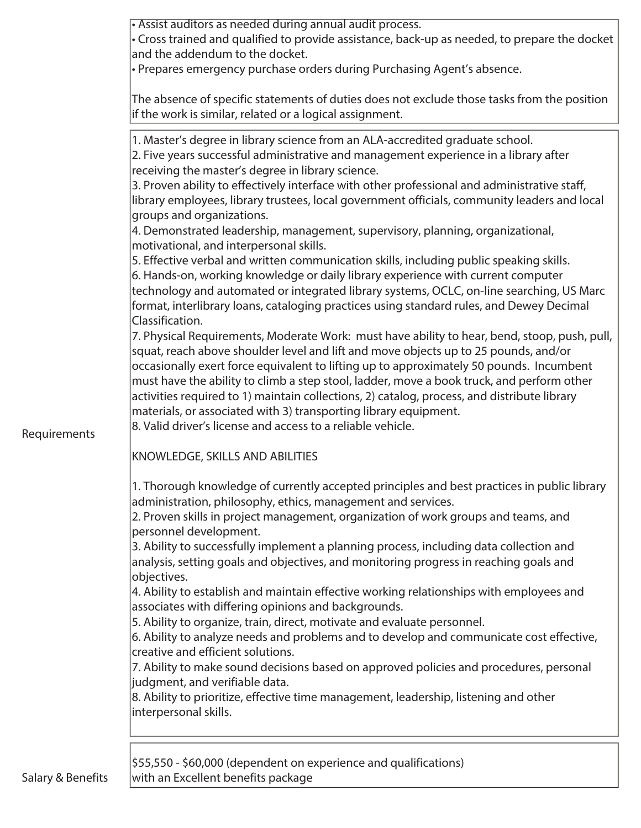|                     | • Assist auditors as needed during annual audit process.                                                                                                                    |
|---------------------|-----------------------------------------------------------------------------------------------------------------------------------------------------------------------------|
|                     | • Cross trained and qualified to provide assistance, back-up as needed, to prepare the docket<br>and the addendum to the docket.                                            |
|                     | • Prepares emergency purchase orders during Purchasing Agent's absence.                                                                                                     |
|                     |                                                                                                                                                                             |
|                     | The absence of specific statements of duties does not exclude those tasks from the position                                                                                 |
|                     | if the work is similar, related or a logical assignment.                                                                                                                    |
|                     |                                                                                                                                                                             |
|                     | 1. Master's degree in library science from an ALA-accredited graduate school.                                                                                               |
|                     | 2. Five years successful administrative and management experience in a library after                                                                                        |
|                     | receiving the master's degree in library science.                                                                                                                           |
|                     | 3. Proven ability to effectively interface with other professional and administrative staff,                                                                                |
|                     | library employees, library trustees, local government officials, community leaders and local                                                                                |
|                     | groups and organizations.                                                                                                                                                   |
|                     | 4. Demonstrated leadership, management, supervisory, planning, organizational,                                                                                              |
|                     | motivational, and interpersonal skills.                                                                                                                                     |
|                     | 5. Effective verbal and written communication skills, including public speaking skills.<br>6. Hands-on, working knowledge or daily library experience with current computer |
|                     | technology and automated or integrated library systems, OCLC, on-line searching, US Marc                                                                                    |
|                     | format, interlibrary loans, cataloging practices using standard rules, and Dewey Decimal                                                                                    |
|                     | Classification.                                                                                                                                                             |
|                     | 7. Physical Requirements, Moderate Work: must have ability to hear, bend, stoop, push, pull,                                                                                |
|                     | squat, reach above shoulder level and lift and move objects up to 25 pounds, and/or                                                                                         |
|                     | occasionally exert force equivalent to lifting up to approximately 50 pounds. Incumbent                                                                                     |
|                     | must have the ability to climb a step stool, ladder, move a book truck, and perform other                                                                                   |
|                     | activities required to 1) maintain collections, 2) catalog, process, and distribute library                                                                                 |
|                     | materials, or associated with 3) transporting library equipment.                                                                                                            |
| <b>Requirements</b> | 8. Valid driver's license and access to a reliable vehicle.                                                                                                                 |
|                     |                                                                                                                                                                             |
|                     | KNOWLEDGE, SKILLS AND ABILITIES                                                                                                                                             |
|                     |                                                                                                                                                                             |
|                     | 1. Thorough knowledge of currently accepted principles and best practices in public library                                                                                 |
|                     | administration, philosophy, ethics, management and services.                                                                                                                |
|                     | 2. Proven skills in project management, organization of work groups and teams, and                                                                                          |
|                     | personnel development.                                                                                                                                                      |
|                     | 3. Ability to successfully implement a planning process, including data collection and                                                                                      |
|                     | analysis, setting goals and objectives, and monitoring progress in reaching goals and<br>objectives.                                                                        |
|                     | 4. Ability to establish and maintain effective working relationships with employees and                                                                                     |
|                     | associates with differing opinions and backgrounds.                                                                                                                         |
|                     | 5. Ability to organize, train, direct, motivate and evaluate personnel.                                                                                                     |
|                     | 6. Ability to analyze needs and problems and to develop and communicate cost effective,                                                                                     |
|                     | creative and efficient solutions.                                                                                                                                           |
|                     | 7. Ability to make sound decisions based on approved policies and procedures, personal                                                                                      |
|                     | judgment, and verifiable data.                                                                                                                                              |
|                     | 8. Ability to prioritize, effective time management, leadership, listening and other                                                                                        |
|                     | interpersonal skills.                                                                                                                                                       |
|                     |                                                                                                                                                                             |
|                     |                                                                                                                                                                             |
|                     | \$55,550 - \$60,000 (dependent on experience and qualifications)                                                                                                            |
| Salary & Benefits   | with an Excellent benefits package                                                                                                                                          |
|                     |                                                                                                                                                                             |